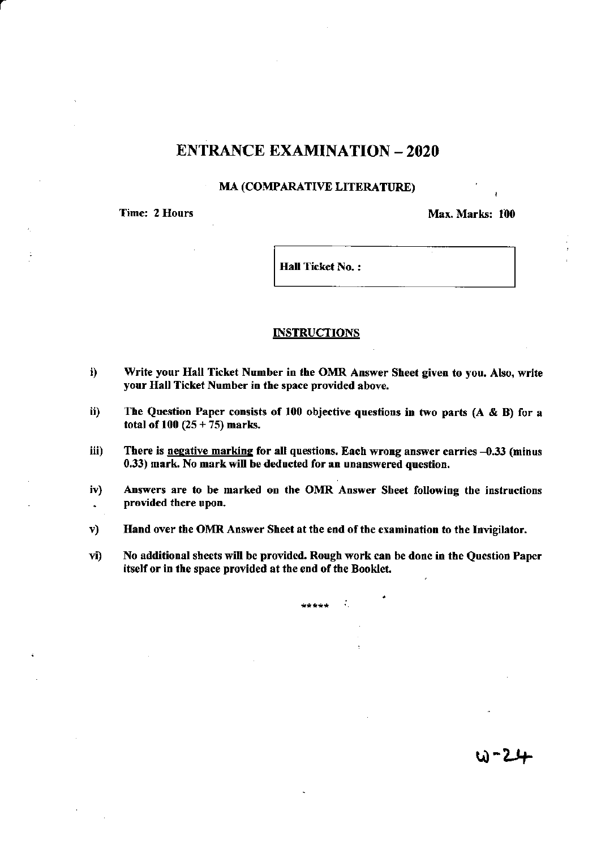## **ENTRANCE EXAMINATION - 2020**

## **MA (COMPARATIVE LITERATURE)**

**Time: 2 Hours** 

Max. Marks: 100

**Hall Ticket No.:** 

## **INSTRUCTIONS**

- i) Write your Hall Ticket Number in the OMR Answer Sheet given to you. Also, write your Hall Ticket Number in the space provided above.
- The Question Paper consists of 100 objective questions in two parts  $(A \& B)$  for a ii) total of 100  $(25 + 75)$  marks.
- iii) There is negative marking for all questions. Each wrong answer carries -0.33 (minus 0.33) mark. No mark will be deducted for an unanswered question.
- Answers are to be marked on the OMR Answer Sheet following the instructions iv) provided there upon.  $\bullet$
- Hand over the OMR Answer Sheet at the end of the examination to the Invigilator.  $\mathbf{v}$
- No additional sheets will be provided. Rough work can be done in the Question Paper  $\mathbf{vi}$ itself or in the space provided at the end of the Booklet.

\*\*\*\*\*

÷.

W-24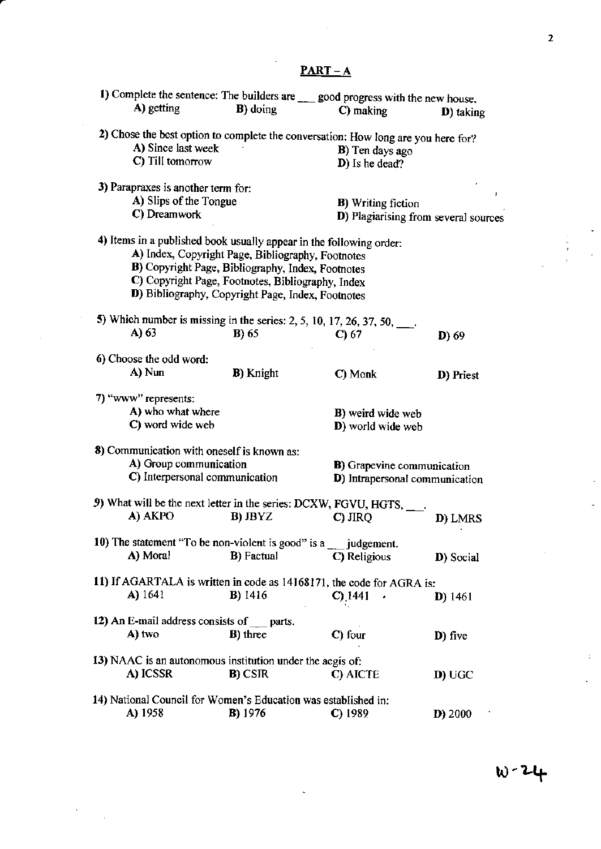|                                            | $PART - A$                                                                                                                                                                                                                                                                              |                                                                                   |                   |
|--------------------------------------------|-----------------------------------------------------------------------------------------------------------------------------------------------------------------------------------------------------------------------------------------------------------------------------------------|-----------------------------------------------------------------------------------|-------------------|
|                                            |                                                                                                                                                                                                                                                                                         | 1) Complete the sentence: The builders are ___ good progress with the new house.  |                   |
| A) getting                                 | <b>B</b> ) doing                                                                                                                                                                                                                                                                        | C) making                                                                         | <b>D</b> ) taking |
|                                            |                                                                                                                                                                                                                                                                                         | 2) Chose the best option to complete the conversation: How long are you here for? |                   |
| A) Since last week                         |                                                                                                                                                                                                                                                                                         | <b>B</b> ) Ten days ago                                                           |                   |
| C) Till tomorrow                           |                                                                                                                                                                                                                                                                                         | D) Is he dead?                                                                    |                   |
| 3) Parapraxes is another term for:         |                                                                                                                                                                                                                                                                                         |                                                                                   |                   |
| A) Slips of the Tongue                     |                                                                                                                                                                                                                                                                                         | <b>B</b> ) Writing fiction                                                        | J                 |
| C) Dreamwork                               |                                                                                                                                                                                                                                                                                         | D) Plagiarising from several sources                                              |                   |
|                                            | 4) Items in a published book usually appear in the following order:<br>A) Index, Copyright Page, Bibliography, Footnotes<br>B) Copyright Page, Bibliography, Index, Footnotes<br>C) Copyright Page, Footnotes, Bibliography, Index<br>D) Bibliography, Copyright Page, Index, Footnotes |                                                                                   |                   |
|                                            |                                                                                                                                                                                                                                                                                         |                                                                                   |                   |
| A) 63                                      | 5) Which number is missing in the series: 2, 5, 10, 17, 26, 37, 50, $\frac{1}{2}$ .                                                                                                                                                                                                     |                                                                                   |                   |
|                                            | <b>B</b> ) 65                                                                                                                                                                                                                                                                           | $C$ ) 67                                                                          | D) 69             |
| 6) Choose the odd word:                    |                                                                                                                                                                                                                                                                                         |                                                                                   |                   |
| A) Nun                                     | <b>B</b> ) Knight                                                                                                                                                                                                                                                                       | C) Monk                                                                           | D) Priest         |
| 7) "www" represents:                       |                                                                                                                                                                                                                                                                                         |                                                                                   |                   |
| A) who what where                          |                                                                                                                                                                                                                                                                                         | B) weird wide web                                                                 |                   |
| C) word wide web                           |                                                                                                                                                                                                                                                                                         | D) world wide web                                                                 |                   |
|                                            |                                                                                                                                                                                                                                                                                         |                                                                                   |                   |
| 8) Communication with oneself is known as: |                                                                                                                                                                                                                                                                                         |                                                                                   |                   |
| A) Group communication                     |                                                                                                                                                                                                                                                                                         | <b>B</b> ) Grapevine communication                                                |                   |
| C) Interpersonal communication             |                                                                                                                                                                                                                                                                                         | D) Intrapersonal communication                                                    |                   |
|                                            |                                                                                                                                                                                                                                                                                         |                                                                                   |                   |
|                                            | 9) What will be the next letter in the series: DCXW, FGVU, HGTS, ___.                                                                                                                                                                                                                   |                                                                                   |                   |
| A) AKPO                                    | <b>B</b> ) JBYZ                                                                                                                                                                                                                                                                         | $C$ ) JIRQ                                                                        | D) LMRS           |
|                                            | 10) The statement "To be non-violent is good" is a judgement.                                                                                                                                                                                                                           |                                                                                   |                   |
| A) Moral                                   | <b>B</b> ) Factual                                                                                                                                                                                                                                                                      | C) Religious                                                                      |                   |
|                                            |                                                                                                                                                                                                                                                                                         |                                                                                   | D) Social         |
|                                            |                                                                                                                                                                                                                                                                                         | 11) If AGARTALA is written in code as 14168171, the code for AGRA is:             |                   |
| A) 1641                                    | <b>B</b> ) 1416                                                                                                                                                                                                                                                                         | $C$ ) 1441                                                                        | <b>D</b> ) 1461   |
|                                            |                                                                                                                                                                                                                                                                                         |                                                                                   |                   |
| 12) An E-mail address consists of parts.   |                                                                                                                                                                                                                                                                                         |                                                                                   |                   |
| A) two                                     | <b>B</b> ) three                                                                                                                                                                                                                                                                        | $C$ ) four                                                                        | D) five           |
|                                            |                                                                                                                                                                                                                                                                                         |                                                                                   |                   |
|                                            | 13) NAAC is an autonomous institution under the aegis of:                                                                                                                                                                                                                               |                                                                                   |                   |
| A) ICSSR                                   | <b>B</b> ) CSIR                                                                                                                                                                                                                                                                         | C) AICTE                                                                          | D) UGC            |
|                                            |                                                                                                                                                                                                                                                                                         |                                                                                   |                   |
|                                            | 14) National Council for Women's Education was established in:                                                                                                                                                                                                                          |                                                                                   | p                 |
| A) 1958                                    | <b>B</b> ) 1976                                                                                                                                                                                                                                                                         | $C$ ) 1989                                                                        | D) 2000           |

 $\ddot{\phantom{a}}$ 

 $\sim$ 

J.

 $\overline{2}$ 

l.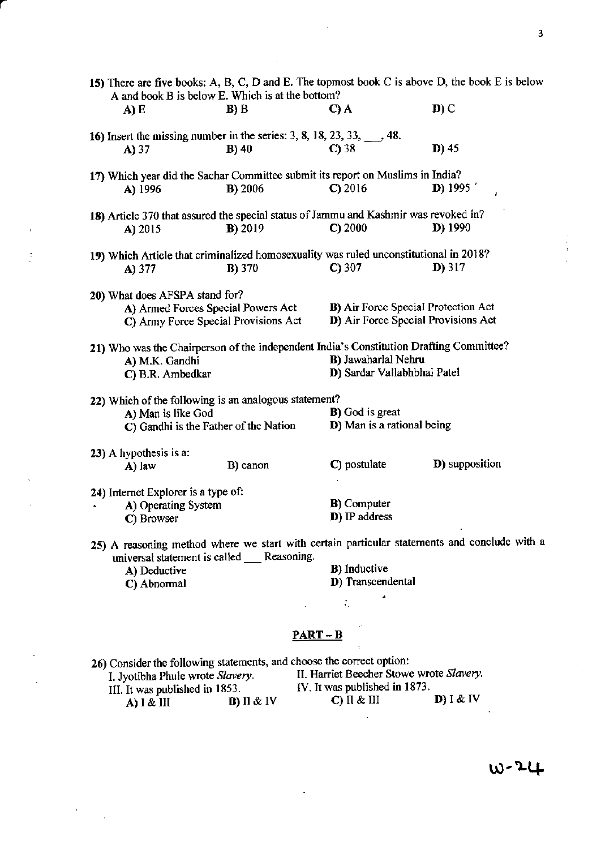| A and book B is below E. Which is at the bottom?<br>$\mathbf{D}$ ) C<br>B) B<br>C) A<br>A) E<br>16) Insert the missing number in the series: 3, 8, 18, 23, 33, $\qquad$ , 48.<br>D) 45<br>$B)$ 40<br>$C$ ) 38<br>A) 37<br>17) Which year did the Sachar Committee submit its report on Muslims in India?<br><b>D</b> ) 1995<br>$C$ ) 2016<br><b>B</b> ) 2006<br>A) 1996<br>ł |  |  |  |  |
|------------------------------------------------------------------------------------------------------------------------------------------------------------------------------------------------------------------------------------------------------------------------------------------------------------------------------------------------------------------------------|--|--|--|--|
|                                                                                                                                                                                                                                                                                                                                                                              |  |  |  |  |
|                                                                                                                                                                                                                                                                                                                                                                              |  |  |  |  |
|                                                                                                                                                                                                                                                                                                                                                                              |  |  |  |  |
|                                                                                                                                                                                                                                                                                                                                                                              |  |  |  |  |
|                                                                                                                                                                                                                                                                                                                                                                              |  |  |  |  |
| 18) Article 370 that assured the special status of Jammu and Kashmir was revoked in?                                                                                                                                                                                                                                                                                         |  |  |  |  |
| C) 2000<br>$D$ ) 1990<br>B) 2019<br>A) 2015                                                                                                                                                                                                                                                                                                                                  |  |  |  |  |
| 19) Which Article that criminalized homosexuality was ruled unconstitutional in 2018?                                                                                                                                                                                                                                                                                        |  |  |  |  |
| $D)$ 317<br>$C$ ) 307<br><b>B</b> ) 370<br>A) 377                                                                                                                                                                                                                                                                                                                            |  |  |  |  |
| 20) What does AFSPA stand for?                                                                                                                                                                                                                                                                                                                                               |  |  |  |  |
| B) Air Force Special Protection Act<br>A) Armed Forces Special Powers Act                                                                                                                                                                                                                                                                                                    |  |  |  |  |
| D) Air Force Special Provisions Act<br>C) Army Force Special Provisions Act                                                                                                                                                                                                                                                                                                  |  |  |  |  |
| 21) Who was the Chairperson of the independent India's Constitution Drafting Committee?                                                                                                                                                                                                                                                                                      |  |  |  |  |
| B) Jawaharlal Nehru<br>A) M.K. Gandhi                                                                                                                                                                                                                                                                                                                                        |  |  |  |  |
| D) Sardar Vallabhbhai Patel<br>C) B.R. Ambedkar                                                                                                                                                                                                                                                                                                                              |  |  |  |  |
| 22) Which of the following is an analogous statement?                                                                                                                                                                                                                                                                                                                        |  |  |  |  |
| <b>B</b> ) God is great<br>A) Man is like God<br>D) Man is a rational being                                                                                                                                                                                                                                                                                                  |  |  |  |  |
| C) Gandhi is the Father of the Nation                                                                                                                                                                                                                                                                                                                                        |  |  |  |  |
| 23) A hypothesis is a:                                                                                                                                                                                                                                                                                                                                                       |  |  |  |  |
| <b>D</b> ) supposition<br>C) postulate<br>B) canon<br>A) law                                                                                                                                                                                                                                                                                                                 |  |  |  |  |
| 24) Internet Explorer is a type of:                                                                                                                                                                                                                                                                                                                                          |  |  |  |  |
| <b>B</b> ) Computer<br>A) Operating System                                                                                                                                                                                                                                                                                                                                   |  |  |  |  |
| D) IP address<br>C) Browser                                                                                                                                                                                                                                                                                                                                                  |  |  |  |  |
| 25) A reasoning method where we start with certain particular statements and conclude with a<br>universal statement is called __ Reasoning.                                                                                                                                                                                                                                  |  |  |  |  |
| <b>B</b> ) Inductive<br>A) Deductive                                                                                                                                                                                                                                                                                                                                         |  |  |  |  |
| D) Transcendental<br>C) Abnormal                                                                                                                                                                                                                                                                                                                                             |  |  |  |  |
|                                                                                                                                                                                                                                                                                                                                                                              |  |  |  |  |
|                                                                                                                                                                                                                                                                                                                                                                              |  |  |  |  |
| $PART-B$                                                                                                                                                                                                                                                                                                                                                                     |  |  |  |  |
| 26) Consider the following statements, and choose the correct option:                                                                                                                                                                                                                                                                                                        |  |  |  |  |
| II. Harriet Beecher Stowe wrote Slavery.<br>I. Jyotibha Phule wrote Slavery.<br>IV. It was published in 1873.                                                                                                                                                                                                                                                                |  |  |  |  |
| III. It was published in 1853.<br>$D$ ) I & IV<br>$C)$ II & III<br>$B)$ II & IV<br>A) $I & H$                                                                                                                                                                                                                                                                                |  |  |  |  |

l,

W-24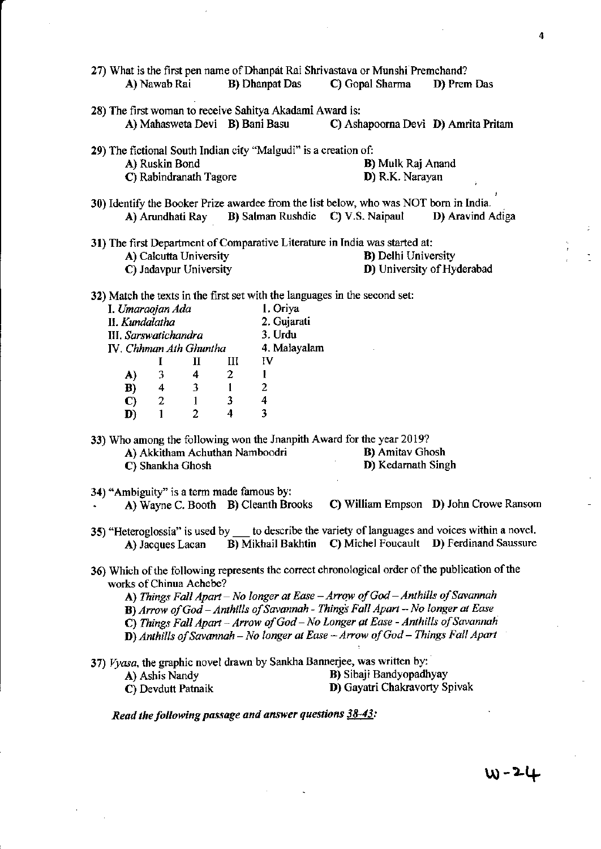| A) Nawab Rai                                                                                                                                                                                                                                                                                                                                                                                                                                                       | 27) What is the first pen name of Dhanpat Rai Shrivastava or Munshi Premchand?<br><b>B</b> ) Dhanpat Das<br>C) Gopal Sharma<br>D) Prem Das                                                                        |  |  |  |
|--------------------------------------------------------------------------------------------------------------------------------------------------------------------------------------------------------------------------------------------------------------------------------------------------------------------------------------------------------------------------------------------------------------------------------------------------------------------|-------------------------------------------------------------------------------------------------------------------------------------------------------------------------------------------------------------------|--|--|--|
| 28) The first woman to receive Sahitya Akadami Award is:<br>A) Mahasweta Devi B) Bani Basu                                                                                                                                                                                                                                                                                                                                                                         | C) Ashapoorna Devi D) Amrita Pritam                                                                                                                                                                               |  |  |  |
| 29) The fictional South Indian city "Malgudi" is a creation of:<br>A) Ruskin Bond<br>C) Rabindranath Tagore                                                                                                                                                                                                                                                                                                                                                        | <b>B</b> ) Mulk Raj Anand<br>D) R.K. Narayan                                                                                                                                                                      |  |  |  |
| A) Arundhati Ray                                                                                                                                                                                                                                                                                                                                                                                                                                                   | 30) Identify the Booker Prize awardee from the list below, who was NOT born in India.<br><b>B</b> ) Salman Rushdie C) V.S. Naipaul<br>D) Aravind Adiga<br>Ĵ,                                                      |  |  |  |
| A) Calcutta University<br>C) Jadavpur University                                                                                                                                                                                                                                                                                                                                                                                                                   | 31) The first Department of Comparative Literature in India was started at:<br>ŧ<br><b>B</b> ) Delhi University<br>D) University of Hyderabad                                                                     |  |  |  |
| I. Umaraojan Ada<br>II. Kundalatha<br>III. Sarswatichandra<br>IV. Chhman Ath Ghuntha<br>Ш<br>I<br>П<br>$\boldsymbol{2}$<br>3<br>4<br>$\mathbf{A}$<br>3<br>$\blacksquare$<br>$\overline{\mathbf{4}}$<br>B)<br>$\mathbf{3}$<br>$\overline{2}$<br>$\mathbf{1}$<br>$\mathbf{C}$<br>4<br>$\mathbf{1}$<br>$\overline{c}$<br>D)                                                                                                                                           | 32) Match the texts in the first set with the languages in the second set:<br>1. Oriya<br>2. Gujarati<br>3. Urdu<br>4. Malayalam<br>IV<br>$\mathbf{1}$<br>$\overline{\mathbf{c}}$<br>4<br>$\overline{\mathbf{3}}$ |  |  |  |
| A) Akkitham Achuthan Namboodri<br>C) Shankha Ghosh                                                                                                                                                                                                                                                                                                                                                                                                                 | 33) Who among the following won the Jnanpith Award for the year 2019?<br><b>B</b> ) Amitav Ghosh<br>D) Kedarnath Singh                                                                                            |  |  |  |
| 34) "Ambiguity" is a term made famous by:<br>A) Wayne C. Booth B) Cleanth Brooks                                                                                                                                                                                                                                                                                                                                                                                   | C) William Empson D) John Crowe Ransom                                                                                                                                                                            |  |  |  |
| A) Jacques Lacan                                                                                                                                                                                                                                                                                                                                                                                                                                                   | 35) "Heteroglossia" is used by ___ to describe the variety of languages and voices within a novel.<br>B) Mikhail Bakhtin C) Michel Foucault D) Ferdinand Saussure                                                 |  |  |  |
| 36) Which of the following represents the correct chronological order of the publication of the<br>works of Chinua Achebe?<br>A) Things Fall Apart – No longer at Ease – Arrow of God – Anthills of Savannah<br>B) Arrow of God - Anthills of Savannah - Things Fall Apart - No longer at Ease<br>C) Things Fall Apart - Arrow of God - No Longer at Ease - Anthills of Savannah<br>D) Anthills of Savannah - No longer at Ease - Arrow of God - Things Fall Apart |                                                                                                                                                                                                                   |  |  |  |
| A) Ashis Nandy<br>C) Devdutt Patnaik<br>Read the following passage and answer questions 38-43:                                                                                                                                                                                                                                                                                                                                                                     | 37) Vyasa, the graphic novel drawn by Sankha Bannerjee, was written by:<br>B) Sibaji Bandyopadhyay<br>D) Gayatri Chakravorty Spivak                                                                               |  |  |  |
|                                                                                                                                                                                                                                                                                                                                                                                                                                                                    |                                                                                                                                                                                                                   |  |  |  |

4

 $w - 24$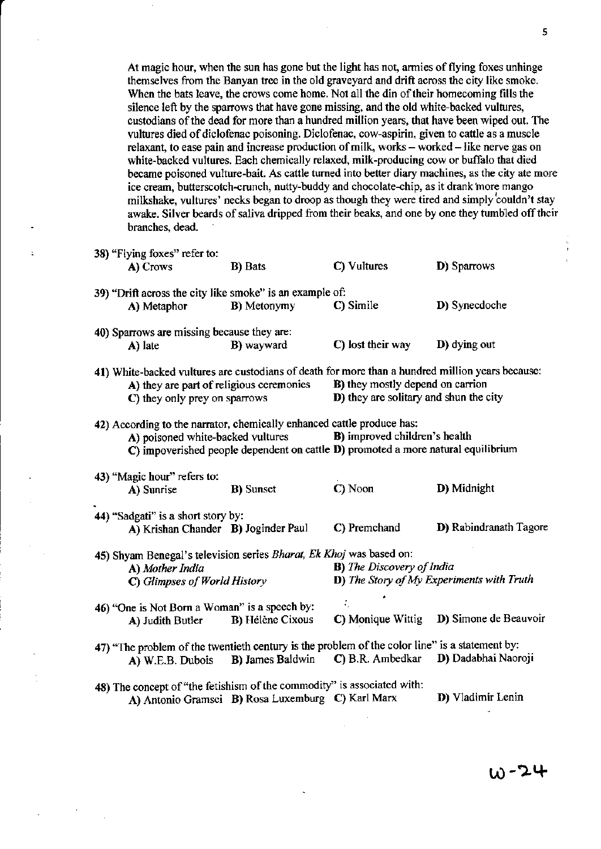At magic hour, when the sun has gone but the light has not, armies of flying foxes unhinge themselves from the Banyan tree in the old graveyard and drift across the city like smoke. When the bats leave, the crows come home. Not all the din of their homecoming fills the silence left by the sparrows that have gone missing, and the old white-backed vultures, custodians of the dead for more than a hundred million years, that have been wiped out. The vultures died of diclofenac poisoning. Diclofenac, cow-aspirin, given to cattle as a muscle relaxant, to ease pain and increase production of milk, works - worked - like nerve gas on white-backed vultures. Each chemically relaxed, milk-producing cow or buffalo that died became poisoned vulture-bait. As cattle turned into better diary machines, as the city ate more ice cream, butterscotch-crunch, nutty-buddy and chocolate-chip, as it drank more mango milkshake, rultures' necks began to droop as though they were tired and simply couldn't stay awake. Silver beards of saliva dripped from their beaks, and one by one they tumbled off their branches, dead.

| 38) "Flying foxes" refer to:<br>A) Crows                                                                                                                                      | <b>B</b> ) Bats                                   | C) Vultures                                                                                                        | D) Sparrows                                       |
|-------------------------------------------------------------------------------------------------------------------------------------------------------------------------------|---------------------------------------------------|--------------------------------------------------------------------------------------------------------------------|---------------------------------------------------|
| 39) "Drift across the city like smoke" is an example of:<br>A) Metaphor                                                                                                       | <b>B</b> ) Metonymy                               | C) Simile                                                                                                          | D) Synecdoche                                     |
| 40) Sparrows are missing because they are:<br>A) late                                                                                                                         | <b>B</b> ) wayward                                | C) lost their way                                                                                                  | D) dying out                                      |
| 41) White-backed vultures are custodians of death for more than a hundred million years because:<br>A) they are part of religious ceremonies<br>C) they only prey on sparrows |                                                   | B) they mostly depend on carrion<br>D) they are solitary and shun the city                                         |                                                   |
| 42) According to the narrator, chemically enhanced cattle produce has:<br>A) poisoned white-backed vultures                                                                   |                                                   | B) improved children's health<br>C) impoverished people dependent on cattle D) promoted a more natural equilibrium |                                                   |
| 43) "Magic hour" refers to:<br>A) Sunrise                                                                                                                                     | <b>B</b> ) Sunset                                 | C) Noon                                                                                                            | D) Midnight                                       |
| 44) "Sadgati" is a short story by:<br>A) Krishan Chander B) Joginder Paul                                                                                                     |                                                   | C) Premchand                                                                                                       | D) Rabindranath Tagore                            |
| 45) Shyam Benegal's television series Bharat, Ek Khoj was based on:<br>A) Mother India<br>C) Glimpses of World History                                                        |                                                   | <b>B</b> ) The Discovery of India                                                                                  | <b>D</b> ) The Story of My Experiments with Truth |
| 46) "One is Not Born a Woman" is a speech by:<br>A) Judith Butler                                                                                                             | <b>B</b> ) Hélène Cixous                          | C) Monique Wittig                                                                                                  | D) Simone de Beauvoir                             |
| 47) "The problem of the twentieth century is the problem of the color line" is a statement by:<br>A) W.E.B. Dubois                                                            | <b>B</b> ) James Baldwin                          | C) B.R. Ambedkar                                                                                                   | D) Dadabhai Naoroji                               |
| 48) The concept of "the fetishism of the commodity" is associated with:                                                                                                       | A) Antonio Gramsci B) Rosa Luxemburg C) Karl Marx |                                                                                                                    | D) Vladimir Lenin                                 |

r,0-2+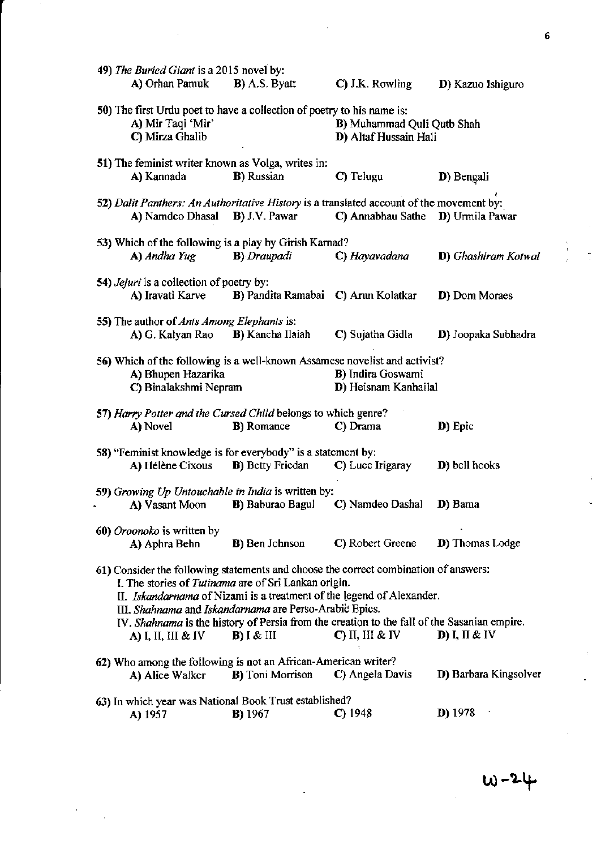| 49) The Buried Giant is a 2015 novel by:                              |                                                                                            |                                                                                                                   |                             |
|-----------------------------------------------------------------------|--------------------------------------------------------------------------------------------|-------------------------------------------------------------------------------------------------------------------|-----------------------------|
| A) Orhan Pamuk                                                        | <b>B</b> ) A.S. Byatt                                                                      | C) J.K. Rowling                                                                                                   | D) Kazuo Ishiguro           |
|                                                                       | 50) The first Urdu poet to have a collection of poetry to his name is:                     |                                                                                                                   |                             |
| A) Mir Taqi 'Mir'                                                     |                                                                                            | <b>B</b> ) Muhammad Quli Qutb Shah                                                                                |                             |
| C) Mirza Ghalib                                                       |                                                                                            | D) Altaf Hussain Hali                                                                                             |                             |
|                                                                       | 51) The feminist writer known as Volga, writes in:                                         |                                                                                                                   |                             |
| A) Kannada                                                            | <b>B</b> ) Russian                                                                         | C) Telugu                                                                                                         | D) Bengali                  |
|                                                                       |                                                                                            | 52) Dalit Panthers: An Authoritative History is a translated account of the movement by:                          |                             |
| A) Namdeo Dhasal B) J.V. Pawar                                        |                                                                                            | C) Annabhau Sathe                                                                                                 | D) Urmila Pawar             |
|                                                                       | 53) Which of the following is a play by Girish Karnad?                                     |                                                                                                                   |                             |
| A) Andha Yug                                                          | <b>B</b> ) Draupadi                                                                        | C) Hayavadana                                                                                                     | <b>D</b> ) Ghashiram Kotwal |
| 54) <i>Jejuri</i> is a collection of poetry by:                       |                                                                                            |                                                                                                                   |                             |
| A) Iravati Karve                                                      | B) Pandita Ramabai C) Arun Kolatkar                                                        |                                                                                                                   | D) Dom Moraes               |
|                                                                       |                                                                                            |                                                                                                                   |                             |
| 55) The author of <i>Ants Among Elephants</i> is:<br>A) G. Kalyan Rao | <b>B</b> ) Kancha Ilaiah                                                                   | C) Sujatha Gidla                                                                                                  | D) Joopaka Subhadra         |
|                                                                       |                                                                                            |                                                                                                                   |                             |
|                                                                       |                                                                                            | 56) Which of the following is a well-known Assamese novelist and activist?                                        |                             |
| A) Bhupen Hazarika                                                    |                                                                                            | <b>B)</b> Indira Goswami                                                                                          |                             |
| C) Binalakshmi Nepram                                                 |                                                                                            | D) Heisnam Kanhailal                                                                                              |                             |
|                                                                       |                                                                                            |                                                                                                                   |                             |
|                                                                       | 57) Harry Potter and the Cursed Child belongs to which genre?                              |                                                                                                                   |                             |
| A) Novel                                                              | <b>B</b> ) Romance                                                                         | C) Drama                                                                                                          | D) Epic                     |
|                                                                       |                                                                                            |                                                                                                                   |                             |
| A) Hélène Cixous B) Betty Friedan                                     | 58) "Feminist knowledge is for everybody" is a statement by:                               | C) Luce Irigaray                                                                                                  | D) bell hooks               |
|                                                                       |                                                                                            |                                                                                                                   |                             |
|                                                                       | 59) Growing Up Untouchable in India is written by:                                         |                                                                                                                   |                             |
| A) Vasant Moon                                                        | <b>B</b> ) Baburao Bagul                                                                   | C) Namdeo Dashal                                                                                                  | D) Bama                     |
| 60) Oroonoko is written by                                            |                                                                                            |                                                                                                                   |                             |
| A) Aphra Behn                                                         | <b>B</b> ) Ben Johnson                                                                     | C) Robert Greene                                                                                                  | D) Thomas Lodge             |
|                                                                       |                                                                                            |                                                                                                                   |                             |
|                                                                       | I. The stories of Tutinama are of Sri Lankan origin.                                       | 61) Consider the following statements and choose the correct combination of answers:                              |                             |
|                                                                       |                                                                                            | II. Iskandarnama of Nizami is a treatment of the legend of Alexander.                                             |                             |
|                                                                       | III. Shahnama and Iskandarnama are Perso-Arabic Epics.                                     |                                                                                                                   |                             |
| A) I, II, III & IV                                                    | $B)$ $I \& III$                                                                            | IV. Shahnama is the history of Persia from the creation to the fall of the Sasanian empire.<br>$C$ ) II, III & IV | D) I, II & IV               |
|                                                                       |                                                                                            |                                                                                                                   |                             |
| A) Alice Walker                                                       | 62) Who among the following is not an African-American writer?<br><b>B</b> ) Toni Morrison | C) Angela Davis                                                                                                   | D) Barbara Kingsolver       |
|                                                                       |                                                                                            |                                                                                                                   |                             |
| A) 1957                                                               | 63) In which year was National Book Trust established?<br><b>B</b> ) 1967                  | $C$ ) 1948                                                                                                        | <b>D</b> ) 1978             |

 $\mathcal{F}$ 

 $\hat{\mathcal{A}}$ 

6

 $\frac{1}{4}$ 

 $\overline{\phantom{a}}$ 

 $\pm$ 

 $\begin{bmatrix} \mathbf{r} \\ \mathbf{r} \\ \mathbf{r} \end{bmatrix}$ 

 $w - 24$ 

 $\overline{\phantom{a}}$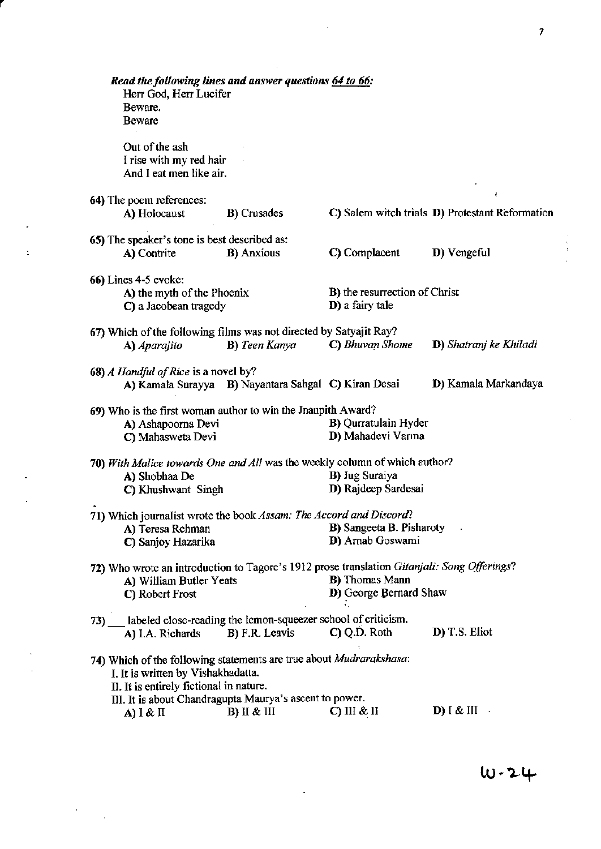| Read the following lines and answer questions 64 to 66:<br>Herr God, Herr Lucifer<br>Beware.              |                                                      |                                                          |                                                 |    |
|-----------------------------------------------------------------------------------------------------------|------------------------------------------------------|----------------------------------------------------------|-------------------------------------------------|----|
| Beware                                                                                                    |                                                      |                                                          |                                                 |    |
| Out of the ash<br>I rise with my red hair<br>And I eat men like air.                                      |                                                      |                                                          |                                                 |    |
| 64) The poem references:                                                                                  |                                                      |                                                          |                                                 |    |
| A) Holocaust                                                                                              | <b>B</b> ) Crusades                                  |                                                          | C) Salem witch trials D) Protestant Reformation |    |
| 65) The speaker's tone is best described as:                                                              |                                                      |                                                          |                                                 |    |
| A) Contrite                                                                                               | <b>B</b> ) Anxious                                   | C) Complacent                                            | D) Vengeful                                     | ÷. |
| 66) Lines 4-5 evoke:                                                                                      |                                                      |                                                          |                                                 |    |
| A) the myth of the Phoenix<br>C) a Jacobean tragedy                                                       |                                                      | <b>B</b> ) the resurrection of Christ<br>D) a fairy tale |                                                 |    |
| 67) Which of the following films was not directed by Satyajit Ray?                                        |                                                      |                                                          |                                                 |    |
| A) Aparajito                                                                                              | <b>B</b> ) Teen Kanya                                | C) Bhuvan Shome                                          | D) Shatranj ke Khiladi                          |    |
| 68) A Handful of Rice is a novel by?                                                                      | A) Kamala Surayya B) Nayantara Sahgal C) Kiran Desai |                                                          | D) Kamala Markandaya                            |    |
| 69) Who is the first woman author to win the Jnanpith Award?                                              |                                                      |                                                          |                                                 |    |
| A) Ashapoorna Devi<br>C) Mahasweta Devi                                                                   |                                                      | <b>B)</b> Qurratulain Hyder<br>D) Mahadevi Varma         |                                                 |    |
| 70) With Malice towards One and All was the weekly column of which author?                                |                                                      |                                                          |                                                 |    |
| A) Shobhaa De                                                                                             |                                                      | <b>B)</b> Jug Suraiya                                    |                                                 |    |
| C) Khushwant Singh                                                                                        |                                                      | D) Rajdeep Sardesai                                      |                                                 |    |
| 71) Which journalist wrote the book Assam: The Accord and Discord?                                        |                                                      |                                                          |                                                 |    |
| A) Teresa Rehman                                                                                          |                                                      | <b>B</b> ) Sangeeta B. Pisharoty                         |                                                 |    |
| C) Sanjoy Hazarika                                                                                        |                                                      | D) Arnab Goswami                                         |                                                 |    |
| 72) Who wrote an introduction to Tagore's 1912 prose translation Gitanjali: Song Offerings?               |                                                      |                                                          |                                                 |    |
| A) William Butler Yeats                                                                                   |                                                      | <b>B</b> ) Thomas Mann                                   |                                                 |    |
| C) Robert Frost                                                                                           |                                                      | D) George Bernard Shaw                                   |                                                 |    |
| 73) labeled close-reading the lemon-squeezer school of criticism.<br>A) I.A. Richards                     | <b>B</b> ) F.R. Leavis                               | $C)$ Q.D. Roth                                           | D) T.S. Eliot                                   |    |
|                                                                                                           |                                                      |                                                          |                                                 |    |
| 74) Which of the following statements are true about Mudrarakshasa:<br>I. It is written by Vishakhadatta. |                                                      |                                                          |                                                 |    |
| II. It is entirely fictional in nature.                                                                   |                                                      |                                                          |                                                 |    |
| III. It is about Chandragupta Maurya's ascent to power.<br>A) $\lambda$ I & II                            | $B)$ II & III                                        | $C)$ III & II                                            | <b>D</b> ) I & III                              |    |
|                                                                                                           |                                                      |                                                          |                                                 |    |

 $\sim$   $\sim$ 

k,

 $\mathbf{t}^{(n)}$ 

 $\downarrow$  $\frac{1}{\sqrt{2}}$ 

 $\label{eq:2.1} \frac{1}{\sqrt{2}}\left(\frac{1}{\sqrt{2}}\right)^{2} \left(\frac{1}{\sqrt{2}}\right)^{2} \left(\frac{1}{\sqrt{2}}\right)^{2} \left(\frac{1}{\sqrt{2}}\right)^{2} \left(\frac{1}{\sqrt{2}}\right)^{2} \left(\frac{1}{\sqrt{2}}\right)^{2} \left(\frac{1}{\sqrt{2}}\right)^{2} \left(\frac{1}{\sqrt{2}}\right)^{2} \left(\frac{1}{\sqrt{2}}\right)^{2} \left(\frac{1}{\sqrt{2}}\right)^{2} \left(\frac{1}{\sqrt{2}}\right)^{2} \left(\$ 

 $\label{eq:2.1} \mathcal{L}(\mathcal{L}^{\text{max}}_{\mathcal{L}}(\mathcal{L}^{\text{max}}_{\mathcal{L}})) \leq \mathcal{L}(\mathcal{L}^{\text{max}}_{\mathcal{L}}(\mathcal{L}^{\text{max}}_{\mathcal{L}}))$ 

 $10 - 24$ 

 $\frac{1}{2}$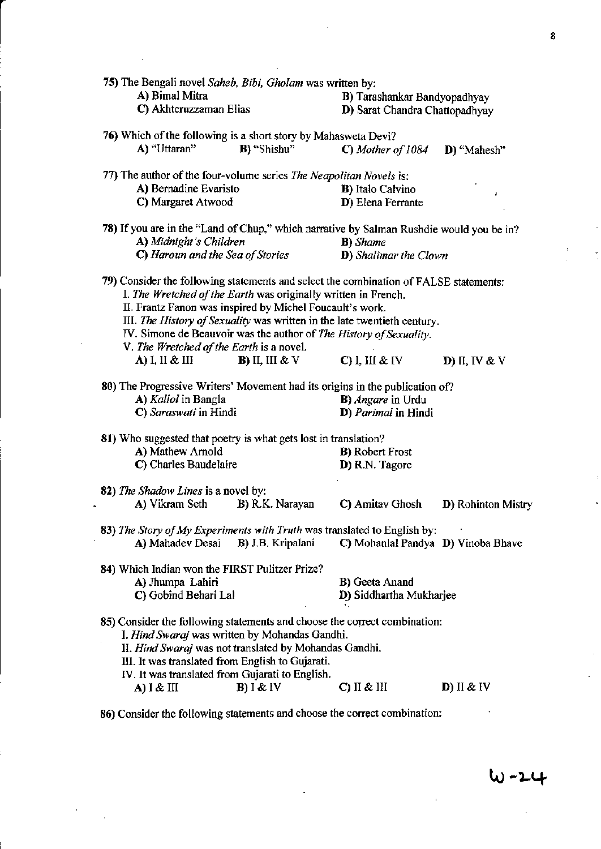| 75) The Bengali novel Saheb, Bibi, Gholam was written by:                                                                                                                                                                                                                                                                                                                                                         |                                  |                                                         |                    |
|-------------------------------------------------------------------------------------------------------------------------------------------------------------------------------------------------------------------------------------------------------------------------------------------------------------------------------------------------------------------------------------------------------------------|----------------------------------|---------------------------------------------------------|--------------------|
| A) Bimal Mitra                                                                                                                                                                                                                                                                                                                                                                                                    |                                  | B) Tarashankar Bandyopadhyay                            |                    |
| C) Akhteruzzaman Elias                                                                                                                                                                                                                                                                                                                                                                                            |                                  | D) Sarat Chandra Chattopadhyay                          |                    |
| 76) Which of the following is a short story by Mahasweta Devi?                                                                                                                                                                                                                                                                                                                                                    |                                  |                                                         |                    |
| A) "Uttaran"                                                                                                                                                                                                                                                                                                                                                                                                      | B) "Shishu"                      | C) Mother of 1084                                       | D) "Mahesh"        |
| 77) The author of the four-volume series The Neapolitan Novels is:                                                                                                                                                                                                                                                                                                                                                |                                  |                                                         |                    |
| A) Bernadine Evaristo                                                                                                                                                                                                                                                                                                                                                                                             |                                  | <b>B</b> ) Italo Calvino                                | J                  |
| C) Margaret Atwood                                                                                                                                                                                                                                                                                                                                                                                                |                                  | D) Elena Ferrante                                       |                    |
| 78) If you are in the "Land of Chup," which narrative by Salman Rushdie would you be in?                                                                                                                                                                                                                                                                                                                          |                                  |                                                         |                    |
| A) Midnight's Children                                                                                                                                                                                                                                                                                                                                                                                            |                                  | <b>B</b> ) Shame                                        |                    |
|                                                                                                                                                                                                                                                                                                                                                                                                                   | C) Haroun and the Sea of Stories | <b>D</b> ) Shalimar the Clown                           |                    |
| 79) Consider the following statements and select the combination of FALSE statements:<br>I. The Wretched of the Earth was originally written in French.<br>II. Frantz Fanon was inspired by Michel Foucault's work.<br>III. The History of Sexuality was written in the late twentieth century.<br>IV. Simone de Beauvoir was the author of The History of Sexuality.<br>V. The Wretched of the Earth is a novel. |                                  |                                                         |                    |
| $\bf{A}$ ) I, II & III                                                                                                                                                                                                                                                                                                                                                                                            | <b>B</b> ) II, III & V           | $C)$ I, III & IV                                        | D) II, IV & V      |
| 80) The Progressive Writers' Movement had its origins in the publication of?<br>A) Kallol in Bangla<br>C) Saraswati in Hindi                                                                                                                                                                                                                                                                                      |                                  | <b>B</b> ) <i>Angare</i> in Urdu<br>D) Parimal in Hindi |                    |
| 81) Who suggested that poetry is what gets lost in translation?                                                                                                                                                                                                                                                                                                                                                   |                                  |                                                         |                    |
| A) Mathew Arnold                                                                                                                                                                                                                                                                                                                                                                                                  |                                  | <b>B</b> ) Robert Frost                                 |                    |
| C) Charles Baudelaire                                                                                                                                                                                                                                                                                                                                                                                             |                                  | D) R.N. Tagore                                          |                    |
| 82) The Shadow Lines is a novel by:                                                                                                                                                                                                                                                                                                                                                                               |                                  |                                                         |                    |
| A) Vikram Seth                                                                                                                                                                                                                                                                                                                                                                                                    | B) R.K. Narayan                  | C) Amitav Ghosh                                         | D) Rohinton Mistry |
| 83) The Story of My Experiments with Truth was translated to English by:                                                                                                                                                                                                                                                                                                                                          |                                  |                                                         |                    |
| A) Mahadev Desai                                                                                                                                                                                                                                                                                                                                                                                                  | B) J.B. Kripalani                | C) Mohanlal Pandya D) Vinoba Bhave                      |                    |
| 84) Which Indian won the FIRST Pulitzer Prize?                                                                                                                                                                                                                                                                                                                                                                    |                                  |                                                         |                    |
| A) Jhumpa Lahiri                                                                                                                                                                                                                                                                                                                                                                                                  |                                  | <b>B)</b> Geeta Anand                                   |                    |
| C) Gobind Behari Lal                                                                                                                                                                                                                                                                                                                                                                                              |                                  | D) Siddhartha Mukharjee                                 |                    |
| 85) Consider the following statements and choose the correct combination:<br>I. Hind Swaraj was written by Mohandas Gandhi.<br>II. Hind Swaraj was not translated by Mohandas Gandhi.<br>III. It was translated from English to Gujarati.<br>IV. It was translated from Gujarati to English.                                                                                                                      |                                  |                                                         |                    |
| $A)$ $I \& III$                                                                                                                                                                                                                                                                                                                                                                                                   | $B)$ I & IV                      | $C)$ II & III                                           | D) II & IV         |
|                                                                                                                                                                                                                                                                                                                                                                                                                   |                                  |                                                         |                    |

86) Consider the following statements and choose the correct combination:

l,

 $w - 24$ 

 $\tilde{\zeta}$